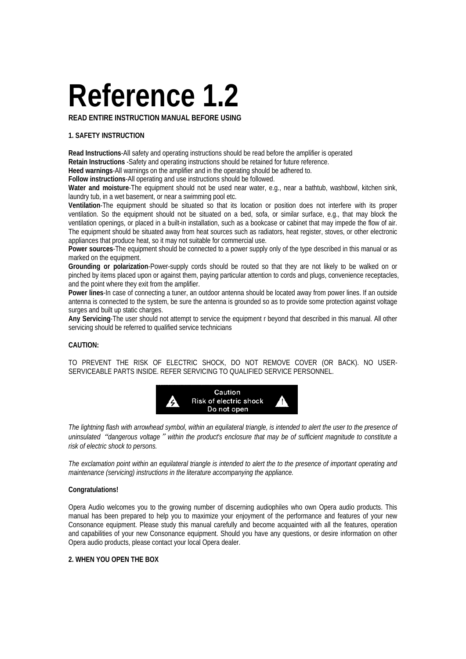# **Reference 1.2**

**READ ENTIRE INSTRUCTION MANUAL BEFORE USING** 

### **1. SAFETY INSTRUCTION**

**Read Instructions**-All safety and operating instructions should be read before the amplifier is operated **Retain Instructions** -Safety and operating instructions should be retained for future reference.

**Heed warnings**-All warnings on the amplifier and in the operating should be adhered to.

**Follow instructions**-All operating and use instructions should be followed.

**Water and moisture**-The equipment should not be used near water, e.g., near a bathtub, washbowl, kitchen sink, laundry tub, in a wet basement, or near a swimming pool etc.

**Ventilation**-The equipment should be situated so that its location or position does not interfere with its proper ventilation. So the equipment should not be situated on a bed, sofa, or similar surface, e.g., that may block the ventilation openings, or placed in a built-in installation, such as a bookcase or cabinet that may impede the flow of air. The equipment should be situated away from heat sources such as radiators, heat register, stoves, or other electronic appliances that produce heat, so it may not suitable for commercial use.

**Power sources**-The equipment should be connected to a power supply only of the type described in this manual or as marked on the equipment.

**Grounding or polarization**-Power-supply cords should be routed so that they are not likely to be walked on or pinched by items placed upon or against them, paying particular attention to cords and plugs, convenience receptacles, and the point where they exit from the amplifier.

**Power lines**-In case of connecting a tuner, an outdoor antenna should be located away from power lines. If an outside antenna is connected to the system, be sure the antenna is grounded so as to provide some protection against voltage surges and built up static charges.

**Any Servicing**-The user should not attempt to service the equipment r beyond that described in this manual. All other servicing should be referred to qualified service technicians

#### **CAUTION:**

TO PREVENT THE RISK OF ELECTRIC SHOCK, DO NOT REMOVE COVER (OR BACK). NO USER-SERVICEABLE PARTS INSIDE. REFER SERVICING TO QUALIFIED SERVICE PERSONNEL.



*The lightning flash with arrowhead symbol, within an equilateral triangle, is intended to alert the user to the presence of uninsulated*"*dangerous voltage*"*within the product's enclosure that may be of sufficient magnitude to constitute a risk of electric shock to persons.* 

*The exclamation point within an equilateral triangle is intended to alert the to the presence of important operating and maintenance (servicing) instructions in the literature accompanying the appliance.* 

#### **Congratulations!**

Opera Audio welcomes you to the growing number of discerning audiophiles who own Opera audio products. This manual has been prepared to help you to maximize your enjoyment of the performance and features of your new Consonance equipment. Please study this manual carefully and become acquainted with all the features, operation and capabilities of your new Consonance equipment. Should you have any questions, or desire information on other Opera audio products, please contact your local Opera dealer.

#### **2. WHEN YOU OPEN THE BOX**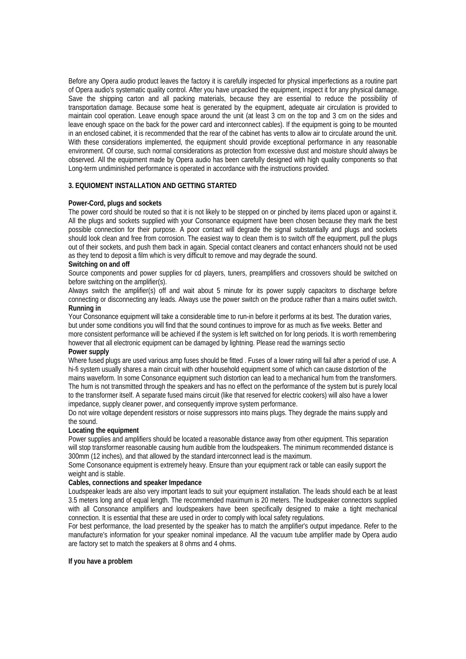Before any Opera audio product leaves the factory it is carefully inspected for physical imperfections as a routine part of Opera audio's systematic quality control. After you have unpacked the equipment, inspect it for any physical damage. Save the shipping carton and all packing materials, because they are essential to reduce the possibility of transportation damage. Because some heat is generated by the equipment, adequate air circulation is provided to maintain cool operation. Leave enough space around the unit (at least 3 cm on the top and 3 cm on the sides and leave enough space on the back for the power card and interconnect cables). If the equipment is going to be mounted in an enclosed cabinet, it is recommended that the rear of the cabinet has vents to allow air to circulate around the unit. With these considerations implemented, the equipment should provide exceptional performance in any reasonable environment. Of course, such normal considerations as protection from excessive dust and moisture should always be observed. All the equipment made by Opera audio has been carefully designed with high quality components so that Long-term undiminished performance is operated in accordance with the instructions provided.

## **3. EQUIOMENT INSTALLATION AND GETTING STARTED**

#### **Power-Cord, plugs and sockets**

The power cord should be routed so that it is not likely to be stepped on or pinched by items placed upon or against it. All the plugs and sockets supplied with your Consonance equipment have been chosen because they mark the best possible connection for their purpose. A poor contact will degrade the signal substantially and plugs and sockets should look clean and free from corrosion. The easiest way to clean them is to switch off the equipment, pull the plugs out of their sockets, and push them back in again. Special contact cleaners and contact enhancers should not be used as they tend to deposit a film which is very difficult to remove and may degrade the sound.

#### **Switching on and off**

Source components and power supplies for cd players, tuners, preamplifiers and crossovers should be switched on before switching on the amplifier(s).

Always switch the amplifier(s) off and wait about 5 minute for its power supply capacitors to discharge before connecting or disconnecting any leads. Always use the power switch on the produce rather than a mains outlet switch. **Running in** 

Your Consonance equipment will take a considerable time to run-in before it performs at its best. The duration varies, but under some conditions you will find that the sound continues to improve for as much as five weeks. Better and more consistent performance will be achieved if the system is left switched on for long periods. It is worth remembering however that all electronic equipment can be damaged by lightning. Please read the warnings sectio

#### **Power supply**

Where fused plugs are used various amp fuses should be fitted . Fuses of a lower rating will fail after a period of use. A hi-fi system usually shares a main circuit with other household equipment some of which can cause distortion of the mains waveform. In some Consonance equipment such distortion can lead to a mechanical hum from the transformers. The hum is not transmitted through the speakers and has no effect on the performance of the system but is purely local to the transformer itself. A separate fused mains circuit (like that reserved for electric cookers) will also have a lower impedance, supply cleaner power, and consequently improve system performance.

Do not wire voltage dependent resistors or noise suppressors into mains plugs. They degrade the mains supply and the sound.

#### **Locating the equipment**

Power supplies and amplifiers should be located a reasonable distance away from other equipment. This separation will stop transformer reasonable causing hum audible from the loudspeakers. The minimum recommended distance is 300mm (12 inches), and that allowed by the standard interconnect lead is the maximum.

Some Consonance equipment is extremely heavy. Ensure than your equipment rack or table can easily support the weight and is stable.

#### **Cables, connections and speaker Impedance**

Loudspeaker leads are also very important leads to suit your equipment installation. The leads should each be at least 3.5 meters long and of equal length. The recommended maximum is 20 meters. The loudspeaker connectors supplied with all Consonance amplifiers and loudspeakers have been specifically designed to make a tight mechanical connection. It is essential that these are used in order to comply with local safety regulations.

For best performance, the load presented by the speaker has to match the amplifier's output impedance. Refer to the manufacture's information for your speaker nominal impedance. All the vacuum tube amplifier made by Opera audio are factory set to match the speakers at 8 ohms and 4 ohms.

#### **If you have a problem**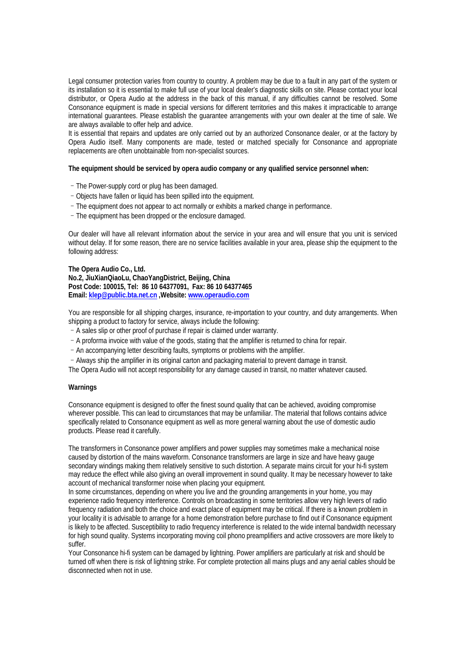Legal consumer protection varies from country to country. A problem may be due to a fault in any part of the system or its installation so it is essential to make full use of your local dealer's diagnostic skills on site. Please contact your local distributor, or Opera Audio at the address in the back of this manual, if any difficulties cannot be resolved. Some Consonance equipment is made in special versions for different territories and this makes it impracticable to arrange international guarantees. Please establish the guarantee arrangements with your own dealer at the time of sale. We are always available to offer help and advice.

It is essential that repairs and updates are only carried out by an authorized Consonance dealer, or at the factory by Opera Audio itself. Many components are made, tested or matched specially for Consonance and appropriate replacements are often unobtainable from non-specialist sources.

#### **The equipment should be serviced by opera audio company or any qualified service personnel when:**

- –The Power-supply cord or plug has been damaged.
- –Objects have fallen or liquid has been spilled into the equipment.
- –The equipment does not appear to act normally or exhibits a marked change in performance.
- –The equipment has been dropped or the enclosure damaged.

Our dealer will have all relevant information about the service in your area and will ensure that you unit is serviced without delay. If for some reason, there are no service facilities available in your area, please ship the equipment to the following address:

**The Opera Audio Co., Ltd. No.2, JiuXianQiaoLu, ChaoYangDistrict, Beijing, China Post Code: 100015, Tel: 86 10 64377091, Fax: 86 10 64377465 Email: klep@public.bta.net.cn ,Website: www.operaudio.com**

You are responsible for all shipping charges, insurance, re-importation to your country, and duty arrangements. When shipping a product to factory for service, always include the following:

–A sales slip or other proof of purchase if repair is claimed under warranty.

- –A proforma invoice with value of the goods, stating that the amplifier is returned to china for repair.
- –An accompanying letter describing faults, symptoms or problems with the amplifier.
- –Always ship the amplifier in its original carton and packaging material to prevent damage in transit.

The Opera Audio will not accept responsibility for any damage caused in transit, no matter whatever caused.

#### **Warnings**

Consonance equipment is designed to offer the finest sound quality that can be achieved, avoiding compromise wherever possible. This can lead to circumstances that may be unfamiliar. The material that follows contains advice specifically related to Consonance equipment as well as more general warning about the use of domestic audio products. Please read it carefully.

The transformers in Consonance power amplifiers and power supplies may sometimes make a mechanical noise caused by distortion of the mains waveform. Consonance transformers are large in size and have heavy gauge secondary windings making them relatively sensitive to such distortion. A separate mains circuit for your hi-fi system may reduce the effect while also giving an overall improvement in sound quality. It may be necessary however to take account of mechanical transformer noise when placing your equipment.

In some circumstances, depending on where you live and the grounding arrangements in your home, you may experience radio frequency interference. Controls on broadcasting in some territories allow very high levers of radio frequency radiation and both the choice and exact place of equipment may be critical. If there is a known problem in your locality it is advisable to arrange for a home demonstration before purchase to find out if Consonance equipment is likely to be affected. Susceptibility to radio frequency interference is related to the wide internal bandwidth necessary for high sound quality. Systems incorporating moving coil phono preamplifiers and active crossovers are more likely to suffer.

Your Consonance hi-fi system can be damaged by lightning. Power amplifiers are particularly at risk and should be turned off when there is risk of lightning strike. For complete protection all mains plugs and any aerial cables should be disconnected when not in use.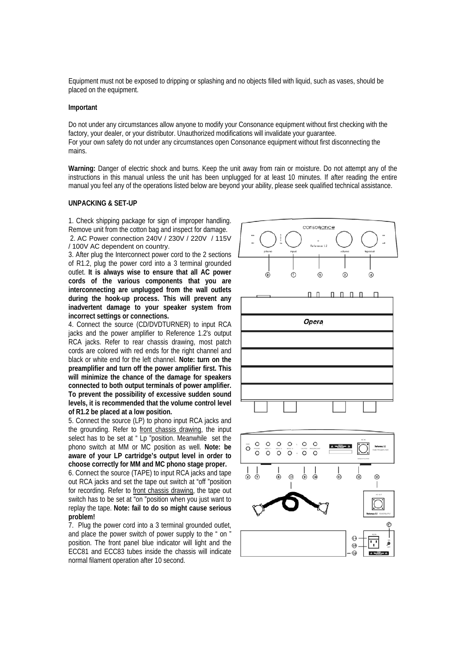Equipment must not be exposed to dripping or splashing and no objects filled with liquid, such as vases, should be placed on the equipment.

#### **Important**

Do not under any circumstances allow anyone to modify your Consonance equipment without first checking with the factory, your dealer, or your distributor. Unauthorized modifications will invalidate your guarantee. For your own safety do not under any circumstances open Consonance equipment without first disconnecting the mains.

**Warning:** Danger of electric shock and burns. Keep the unit away from rain or moisture. Do not attempt any of the instructions in this manual unless the unit has been unplugged for at least 10 minutes. If after reading the entire manual you feel any of the operations listed below are beyond your ability, please seek qualified technical assistance.

#### **UNPACKING & SET-UP**

1. Check shipping package for sign of improper handling. Remove unit from the cotton bag and inspect for damage. 2. AC Power connection 240V / 230V / 220V / 115V / 100V AC dependent on country.

3. After plug the Interconnect power cord to the 2 sections of R1.2, plug the power cord into a 3 terminal grounded outlet. **It is always wise to ensure that all AC power cords of the various components that you are interconnecting are unplugged from the wall outlets during the hook-up process. This will prevent any inadvertent damage to your speaker system from incorrect settings or connections.** 

4. Connect the source (CD/DVDTURNER) to input RCA jacks and the power amplifier to Reference 1.2's output RCA jacks. Refer to rear chassis drawing, most patch cords are colored with red ends for the right channel and black or white end for the left channel. **Note: turn on the preamplifier and turn off the power amplifier first. This will minimize the chance of the damage for speakers connected to both output terminals of power amplifier. To prevent the possibility of excessive sudden sound levels, it is recommended that the volume control level of R1.2 be placed at a low position.**

5. Connect the source (LP) to phono input RCA jacks and the grounding. Refer to front chassis drawing, the input select has to be set at " Lp "position. Meanwhile set the phono switch at MM or MC position as well. **Note: be aware of your LP cartridge's output level in order to choose correctly for MM and MC phono stage proper.** 

6. Connect the source (TAPE) to input RCA jacks and tape out RCA jacks and set the tape out switch at "off "position for recording. Refer to front chassis drawing, the tape out switch has to be set at "on "position when you just want to replay the tape. **Note: fail to do so might cause serious problem!** 

7. Plug the power cord into a 3 terminal grounded outlet, and place the power switch of power supply to the " on " position. The front panel blue indicator will light and the ECC81 and ECC83 tubes inside the chassis will indicate normal filament operation after 10 second.

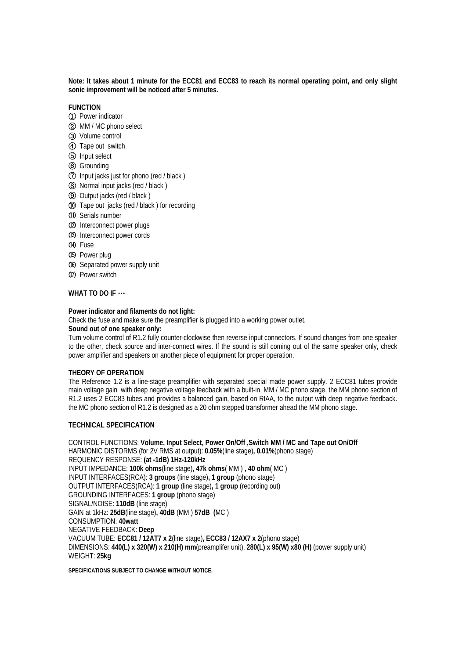**Note: It takes about 1 minute for the ECC81 and ECC83 to reach its normal operating point, and only slight sonic improvement will be noticed after 5 minutes.**

#### **FUNCTION**

- ①Power indicator
- ②MM / MC phono select
- ③Volume control
- ④Tape out switch
- ⑤Input select
- ⑥Grounding
- ⑦Input jacks just for phono (red / black )
- ⑧Normal input jacks (red / black )
- ⑨Output jacks (red / black )
- ⑩ Tape out jacks (red / black ) for recording
- ⑾ Serials number
- ⑿ Interconnect power plugs
- ⒀ Interconnect power cords
- ⒁ Fuse
- ⒂ Power plug
- ⒃ Separated power supply unit
- ⒄ Power switch

#### **WHAT TO DO IF** …

#### **Power indicator and filaments do not light:**

Check the fuse and make sure the preamplifier is plugged into a working power outlet.

#### **Sound out of one speaker only:**

Turn volume control of R1.2 fully counter-clockwise then reverse input connectors. If sound changes from one speaker to the other, check source and inter-connect wires. If the sound is still coming out of the same speaker only, check power amplifier and speakers on another piece of equipment for proper operation.

#### **THEORY OF OPERATION**

The Reference 1.2 is a line-stage preamplifier with separated special made power supply. 2 ECC81 tubes provide main voltage gain with deep negative voltage feedback with a built-in MM / MC phono stage, the MM phono section of R1.2 uses 2 ECC83 tubes and provides a balanced gain, based on RIAA, to the output with deep negative feedback. the MC phono section of R1.2 is designed as a 20 ohm stepped transformer ahead the MM phono stage.

#### **TECHNICAL SPECIFICATION**

CONTROL FUNCTIONS: **Volume, Input Select, Power On/Off ,Switch MM / MC and Tape out On/Off**  HARMONIC DISTORMS (for 2V RMS at output): **0.05%**(line stage)**, 0.01%**(phono stage) REQUENCY RESPONSE: **(at -1dB) 1Hz-120kHz**  INPUT IMPEDANCE: **100k ohms**(line stage)**, 47k ohms**( MM ) **, 40 ohm**( MC ) INPUT INTERFACES(RCA): **3 groups** (line stage)**, 1 group** (phono stage) OUTPUT INTERFACES(RCA): **1 group** (line stage)**, 1 group** (recording out) GROUNDING INTERFACES: **1 group** (phono stage) SIGNAL/NOISE: **110dB** (line stage) GAIN at 1kHz: **25dB**(line stage)**, 40dB** (MM ) **57dB (**MC ) CONSUMPTION: **40watt**  NEGATIVE FEEDBACK: **Deep**  VACUUM TUBE: **ECC81 / 12AT7 x 2**(line stage)**, ECC83 / 12AX7 x 2**(phono stage) DIMENSIONS: **440(L) x 320(W) x 210(H) mm**(preamplifer unit), **280(L) x 95(W) x80 (H)** (power supply unit) WEIGHT: **25kg**

**SPECIFICATIONS SUBJECT TO CHANGE WITHOUT NOTICE.**